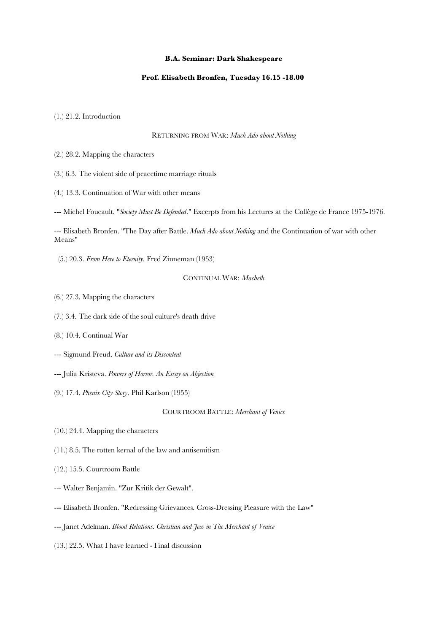## **B.A. Seminar: Dark Shakespeare**

## **Prof. Elisabeth Bronfen, Tuesday 16.15 -18.00**

(1.) 21.2. Introduction

## RETURNING FROM WAR: *Much Ado about Nothing*

- (2.) 28.2. Mapping the characters
- (3.) 6.3. The violent side of peacetime marriage rituals
- (4.) 13.3. Continuation of War with other means

--- Michel Foucault. "*Society Must Be Defended*." Excerpts from his Lectures at the Collège de France 1975-1976.

--- Elisabeth Bronfen. "The Day after Battle. *Much Ado about Nothing* and the Continuation of war with other Means"

(5.) 20.3. *From Here to Eternity*. Fred Zinneman (1953)

CONTINUAL WAR: *Macbeth*

(6.) 27.3. Mapping the characters

- (7.) 3.4. The dark side of the soul culture's death drive
- (8.) 10.4. Continual War
- --- Sigmund Freud. *Culture and its Discontent*
- --- Julia Kristeva. *Powers of Horror. An Essay on Abjection*
- (9.) 17.4. *Phenix City Story*. Phil Karlson (1955)

COURTROOM BATTLE: *Merchant of Venice*

- (10.) 24.4. Mapping the characters
- (11.) 8.5. The rotten kernal of the law and antisemitism
- (12.) 15.5. Courtroom Battle
- --- Walter Benjamin. "Zur Kritik der Gewalt".
- --- Elisabeth Bronfen. "Redressing Grievances. Cross-Dressing Pleasure with the Law"
- --- Janet Adelman. *Blood Relations. Christian and Jew in The Merchant of Venice*
- (13.) 22.5. What I have learned Final discussion